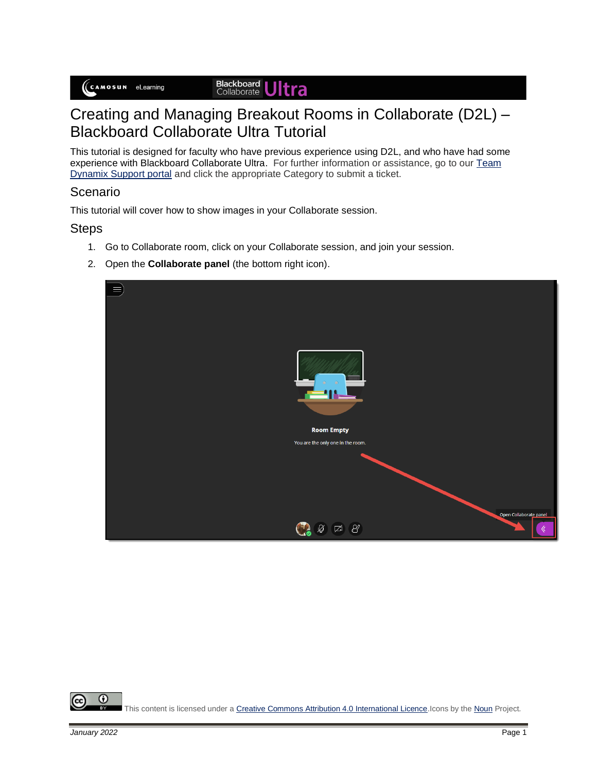# **Blackboard Ultra**

# Creating and Managing Breakout Rooms in Collaborate (D2L) – Blackboard Collaborate Ultra Tutorial

This tutorial is designed for faculty who have previous experience using D2L, and who have had some experience with Blackboard Collaborate Ultra. For further information or assistance, go to our Team [Dynamix Support portal](https://camosun.teamdynamix.com/TDClient/67/Portal/Requests/ServiceCatalog?CategoryID=523) and click the appropriate Category to submit a ticket.

### Scenario

This tutorial will cover how to show images in your Collaborate session.

#### Steps

- 1. Go to Collaborate room, click on your Collaborate session, and join your session.
- 2. Open the **Collaborate panel** (the bottom right icon).

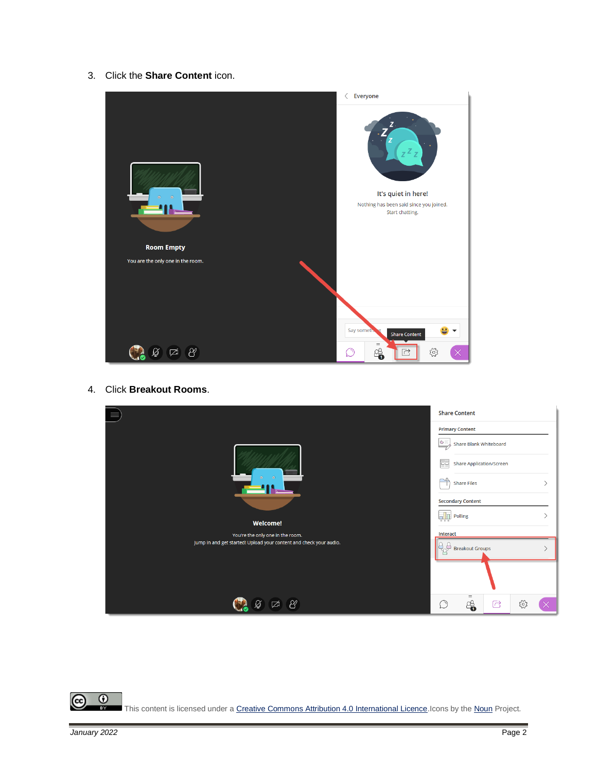3. Click the **Share Content** icon.



4. Click **Breakout Rooms**.

|                                                                    | <b>Share Content</b>     |                        |                                 |        |  |
|--------------------------------------------------------------------|--------------------------|------------------------|---------------------------------|--------|--|
|                                                                    | <b>Primary Content</b>   |                        |                                 |        |  |
|                                                                    | $G =$                    |                        | Share Blank Whiteboard          |        |  |
|                                                                    | õo                       |                        | <b>Share Application/Screen</b> |        |  |
| $\odot$<br>۵                                                       | $\frac{1}{\sqrt{2}}$     | <b>Share Files</b>     |                                 |        |  |
|                                                                    | <b>Secondary Content</b> |                        |                                 |        |  |
| <b>Welcome!</b>                                                    | gh<br>Polling            |                        |                                 |        |  |
| You're the only one in the room.                                   | Interact                 |                        |                                 |        |  |
| Jump in and get started! Upload your content and check your audio. | à                        | <b>Breakout Groups</b> |                                 |        |  |
|                                                                    |                          |                        |                                 |        |  |
| $\beta'$<br>☑                                                      | $\circlearrowright$      | $\equiv$<br>4          | C                               | స్ట్రే |  |

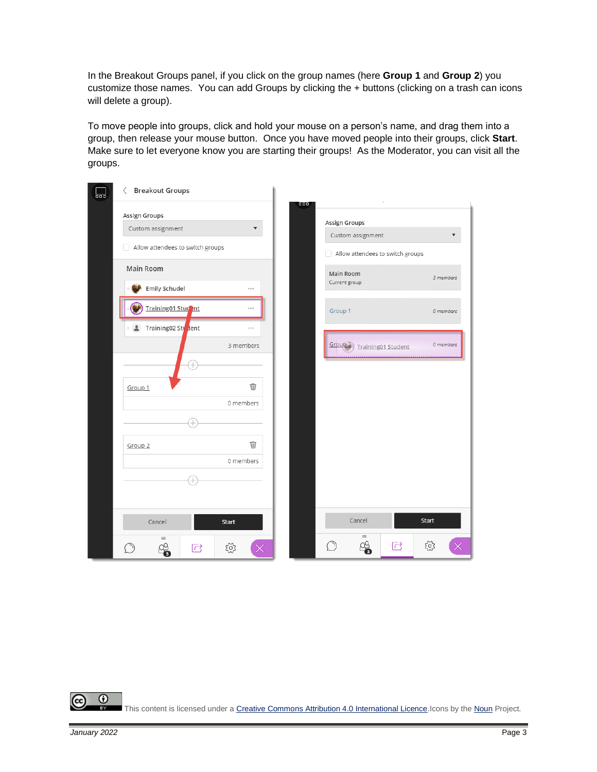In the Breakout Groups panel, if you click on the group names (here **Group 1** and **Group 2**) you customize those names. You can add Groups by clicking the + buttons (clicking on a trash can icons will delete a group).

To move people into groups, click and hold your mouse on a person's name, and drag them into a group, then release your mouse button. Once you have moved people into their groups, click **Start**. Make sure to let everyone know you are starting their groups! As the Moderator, you can visit all the groups.

| ᇣ | <b>Breakout Groups</b><br>$\langle$            |                      |     |                                                       |              |
|---|------------------------------------------------|----------------------|-----|-------------------------------------------------------|--------------|
|   | Assign Groups<br>Custom assignment             | $\blacktriangledown$ | 000 | Assign Groups                                         |              |
|   | Allow attendees to switch groups               |                      |     | Custom assignment<br>Allow attendees to switch groups | ▼            |
|   | Main Room                                      |                      |     | Main Room                                             |              |
|   | Emily Schudel                                  | $***$                |     | Current group                                         | 3 members    |
|   | Training01 Student                             | $***$                |     | Group 1                                               | 0 members    |
|   | <b>E</b> Training02 Sty lent                   | $***$<br>3 members   |     |                                                       | 0 members    |
|   | $^{+}$                                         |                      |     | Group 2) Training01 Student                           |              |
|   | Group 1                                        | Ŵ                    |     |                                                       |              |
|   |                                                | 0 members            |     |                                                       |              |
|   | Ļ.                                             |                      |     |                                                       |              |
|   | Group <sub>2</sub>                             | Ŵ                    |     |                                                       |              |
|   |                                                | 0 members            |     |                                                       |              |
|   |                                                |                      |     |                                                       |              |
|   |                                                |                      |     |                                                       |              |
|   | Cancel                                         | <b>Start</b>         |     | Cancel                                                | <b>Start</b> |
|   | $\qquad \qquad =$<br>$\overrightarrow{C}$<br>з | ద్ర                  |     | $\equiv$<br>╬<br>C                                    | ద్ర          |



This content is licensed under [a Creative Commons Attribution 4.0 International Licence.I](https://creativecommons.org/licenses/by/4.0/)cons by th[e Noun](https://creativecommons.org/website-icons/) Project.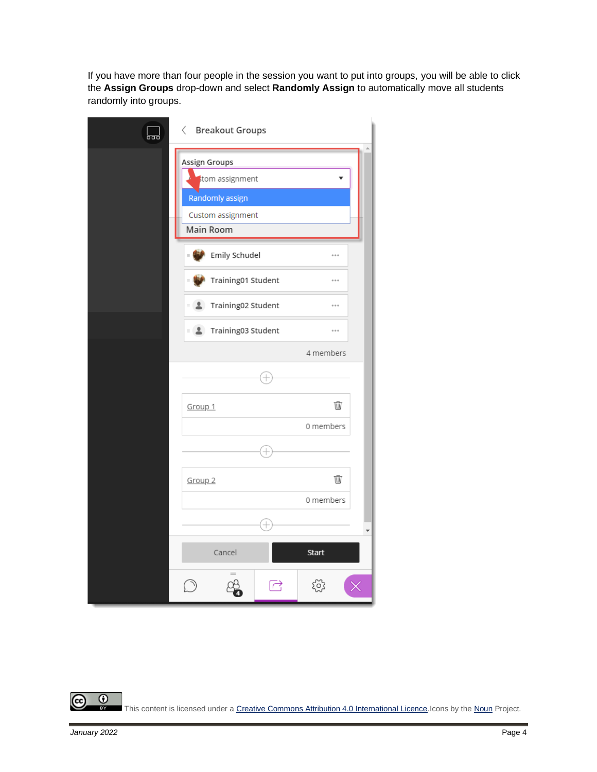If you have more than four people in the session you want to put into groups, you will be able to click the **Assign Groups** drop-down and select **Randomly Assign** to automatically move all students randomly into groups.

| 닒 | $\langle$ Breakout Groups       |              |
|---|---------------------------------|--------------|
|   | Assign Groups<br>tom assignment | v            |
|   | Randomly assign                 |              |
|   | Custom assignment               |              |
|   | Main Room                       |              |
|   | Emily Schudel<br>$\equiv$       |              |
|   | Training01 Student<br>$\equiv$  | $\cdots$     |
|   | ■ <u>↓</u> Training02 Student   |              |
|   | <b>1</b> Training03 Student     | $\cdots$     |
|   |                                 | 4 members    |
|   |                                 |              |
|   | Group 1                         | Ŵ            |
|   |                                 | 0 members    |
|   |                                 |              |
|   | Group <sub>2</sub>              | Ŵ            |
|   |                                 | 0 members    |
|   | 4                               |              |
|   | Cancel                          | <b>Start</b> |
|   | $=$<br>己                        |              |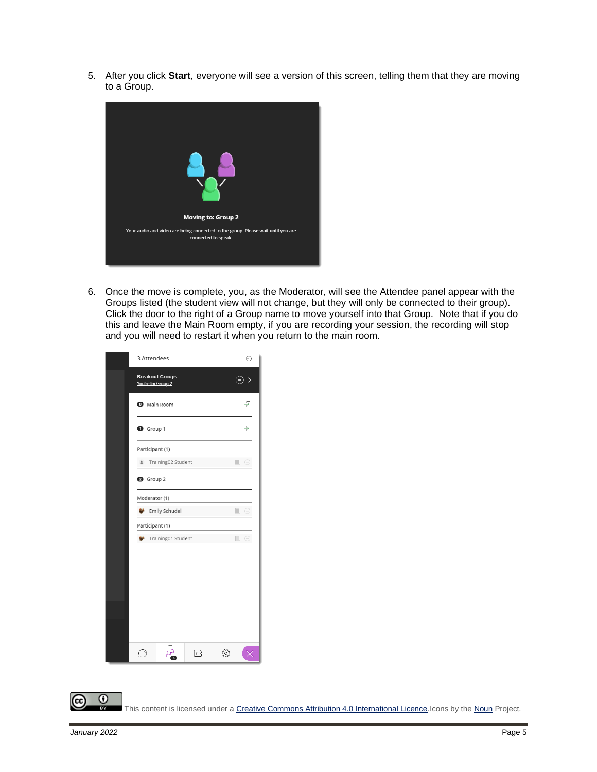5. After you click **Start**, everyone will see a version of this screen, telling them that they are moving to a Group.



6. Once the move is complete, you, as the Moderator, will see the Attendee panel appear with the Groups listed (the student view will not change, but they will only be connected to their group). Click the door to the right of a Group name to move yourself into that Group. Note that if you do this and leave the Main Room empty, if you are recording your session, the recording will stop and you will need to restart it when you return to the main room.

| 3 Attendees                                  | ⊕                             |
|----------------------------------------------|-------------------------------|
| <b>Breakout Groups</b><br>You're in: Group 2 | $\left( \blacksquare \right)$ |
| <b>O</b> Main Room                           | Đ                             |
| $\bullet$ Group 1                            | $\overline{P}$                |
| Participant (1)                              |                               |
| $\hat{\mathbf{r}}$<br>Training02 Student     | $\equiv$ $\odot$              |
| <b>2</b> Group 2                             |                               |
| Moderator (1)                                |                               |
| <b>Emily Schudel</b>                         | $\equiv$ $\odot$              |
| Participant (1)                              |                               |
| Training01 Student                           | $\equiv$ $\odot$              |
|                                              |                               |
|                                              |                               |
|                                              |                               |
|                                              |                               |
|                                              |                               |
|                                              |                               |
| $\sim$                                       |                               |
| ☞                                            |                               |

 $\odot$ вY

This content is licensed under [a Creative Commons Attribution 4.0 International Licence.I](https://creativecommons.org/licenses/by/4.0/)cons by th[e Noun](https://creativecommons.org/website-icons/) Project.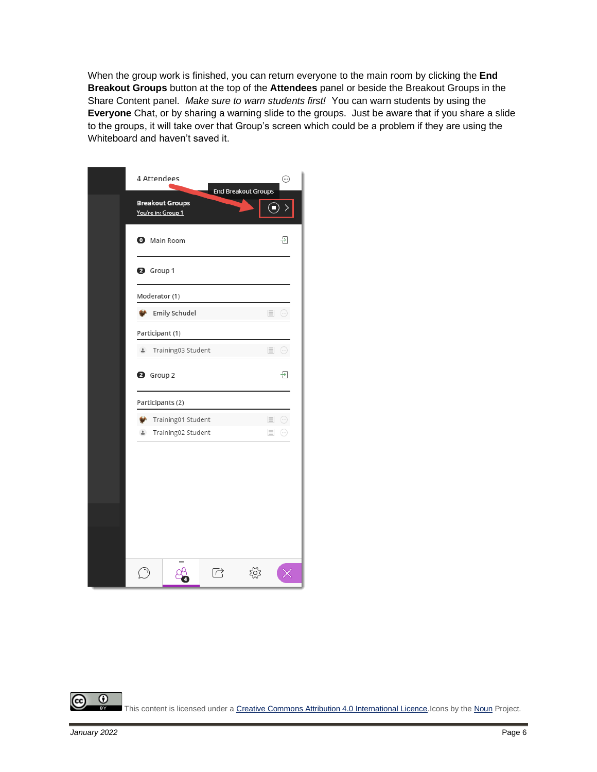When the group work is finished, you can return everyone to the main room by clicking the **End Breakout Groups** button at the top of the **Attendees** panel or beside the Breakout Groups in the Share Content panel. *Make sure to warn students first!* You can warn students by using the **Everyone** Chat, or by sharing a warning slide to the groups. Just be aware that if you share a slide to the groups, it will take over that Group's screen which could be a problem if they are using the Whiteboard and haven't saved it.

| 4 Attendees                                  |                    |                      | <b>End Breakout Groups</b> | ⊕                |
|----------------------------------------------|--------------------|----------------------|----------------------------|------------------|
| <b>Breakout Groups</b><br>You're in: Group 1 |                    |                      |                            | $\odot$ >        |
| <b>O</b> Main Room                           |                    |                      |                            | Đ                |
| <sup>3</sup> Group 1                         |                    |                      |                            |                  |
| Moderator (1)                                |                    |                      |                            |                  |
|                                              | Emily Schudel      |                      |                            | $\equiv$ $\odot$ |
| Participant (1)                              |                    |                      |                            |                  |
| $\hat{\mathbf{r}}$                           | Training03 Student |                      |                            | $\equiv$ $\odot$ |
| <b>2</b> Group 2                             |                    |                      |                            | 구                |
| Participants (2)                             |                    |                      |                            |                  |
|                                              | Training01 Student |                      | $\equiv$                   | $\odot$          |
| $\Delta$                                     | Training02 Student |                      | $\equiv$                   | $(\cdots)$       |
|                                              |                    |                      |                            |                  |
|                                              |                    |                      |                            |                  |
|                                              |                    |                      |                            |                  |
|                                              | =                  | $\overrightarrow{C}$ |                            |                  |

 $\odot$ This content is licensed under [a Creative Commons Attribution 4.0 International Licence.I](https://creativecommons.org/licenses/by/4.0/)cons by th[e Noun](https://creativecommons.org/website-icons/) Project. **BY**